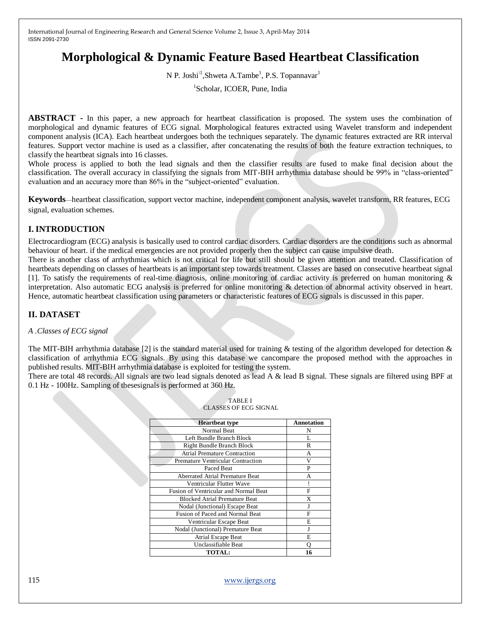# **Morphological & Dynamic Feature Based Heartbeat Classification**

N P. Joshi<sup>\1</sup>, Shweta A.Tambe<sup>1</sup>, P.S. Topannavar<sup>1</sup>

1 Scholar, ICOER, Pune, India

**ABSTRACT -** In this paper, a new approach for heartbeat classification is proposed. The system uses the combination of morphological and dynamic features of ECG signal. Morphological features extracted using Wavelet transform and independent component analysis (ICA). Each heartbeat undergoes both the techniques separately. The dynamic features extracted are RR interval features. Support vector machine is used as a classifier, after concatenating the results of both the feature extraction techniques, to classify the heartbeat signals into 16 classes.

Whole process is applied to both the lead signals and then the classifier results are fused to make final decision about the classification. The overall accuracy in classifying the signals from MIT-BIH arrhythmia database should be 99% in "class-oriented" evaluation and an accuracy more than 86% in the "subject-oriented" evaluation.

**Keywords**—heartbeat classification, support vector machine, independent component analysis, wavelet transform, RR features, ECG signal, evaluation schemes.

# **I. INTRODUCTION**

Electrocardiogram (ECG) analysis is basically used to control cardiac disorders. Cardiac disorders are the conditions such as abnormal behaviour of heart. if the medical emergencies are not provided properly then the subject can cause impulsive death.

There is another class of arrhythmias which is not critical for life but still should be given attention and treated. Classification of heartbeats depending on classes of heartbeats is an important step towards treatment. Classes are based on consecutive heartbeat signal [1]. To satisfy the requirements of real-time diagnosis, online monitoring of cardiac activity is preferred on human monitoring & interpretation. Also automatic ECG analysis is preferred for online monitoring & detection of abnormal activity observed in heart. Hence, automatic heartbeat classification using parameters or characteristic features of ECG signals is discussed in this paper.

# **II. DATASET**

#### *A .Classes of ECG signal*

The MIT-BIH arrhythmia database [2] is the standard material used for training & testing of the algorithm developed for detection  $\&$ classification of arrhythmia ECG signals. By using this database we cancompare the proposed method with the approaches in published results. MIT-BIH arrhythmia database is exploited for testing the system.

There are total 48 records. All signals are two lead signals denoted as lead A & lead B signal. These signals are filtered using BPF at 0.1 Hz - 100Hz. Sampling of thesesignals is performed at 360 Hz.

| <b>Heartbeat type</b>                    | Annotation |
|------------------------------------------|------------|
| Normal Beat                              | N          |
| Left Bundle Branch Block                 | L          |
| <b>Right Bundle Branch Block</b>         | R          |
| <b>Atrial Premature Contraction</b>      | А          |
| <b>Premature Ventricular Contraction</b> | V          |
| Paced Beat                               | P          |
| Aberrated Atrial Premature Beat          | А          |
| Ventricular Flutter Wave                 |            |
| Fusion of Ventricular and Normal Beat    | F          |
| <b>Blocked Atrial Premature Beat</b>     | X          |
| Nodal (Junctional) Escape Beat           | J          |
| Fusion of Paced and Normal Beat          | F          |
| Ventricular Escape Beat                  | E          |
| Nodal (Junctional) Premature Beat        | J          |
| <b>Atrial Escape Beat</b>                | E          |
| Unclassifiable Beat                      | О          |
| <b>TOTAL:</b>                            | 16         |

| <b>TABLE I</b>        |
|-----------------------|
| CLASSES OF ECG SIGNAL |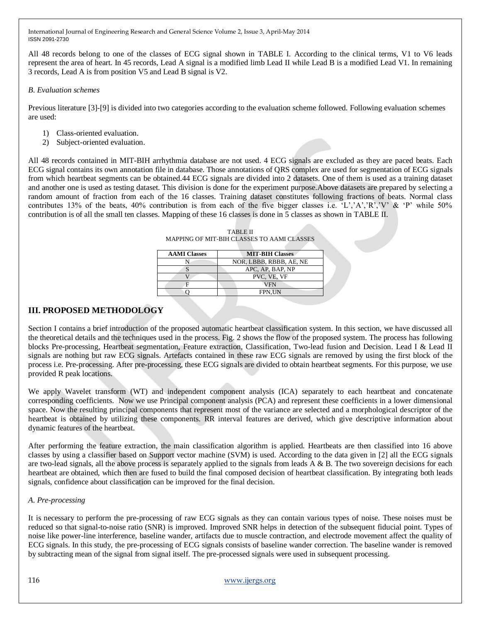All 48 records belong to one of the classes of ECG signal shown in TABLE I. According to the clinical terms, V1 to V6 leads represent the area of heart. In 45 records, Lead A signal is a modified limb Lead II while Lead B is a modified Lead V1. In remaining 3 records, Lead A is from position V5 and Lead B signal is V2.

## *B. Evaluation schemes*

Previous literature [3]-[9] is divided into two categories according to the evaluation scheme followed. Following evaluation schemes are used:

- 1) Class-oriented evaluation.
- 2) Subject-oriented evaluation.

All 48 records contained in MIT-BIH arrhythmia database are not used. 4 ECG signals are excluded as they are paced beats. Each ECG signal contains its own annotation file in database. Those annotations of QRS complex are used for segmentation of ECG signals from which heartbeat segments can be obtained.44 ECG signals are divided into 2 datasets. One of them is used as a training dataset and another one is used as testing dataset. This division is done for the experiment purpose.Above datasets are prepared by selecting a random amount of fraction from each of the 16 classes. Training dataset constitutes following fractions of beats. Normal class contributes 13% of the beats, 40% contribution is from each of the five bigger classes i.e.  $(L', A', R', V', \& P'$  while 50% contribution is of all the small ten classes. Mapping of these 16 classes is done in 5 classes as shown in TABLE II.

TABLE II MAPPING OF MIT-BIH CLASSES TO AAMI CLASSES

| <b>AAMI Classes</b> | <b>MIT-BIH Classes</b>  |
|---------------------|-------------------------|
|                     | NOR, LBBB, RBBB, AE, NE |
|                     | APC, AP, BAP, NP        |
|                     | PVC, VE, VF             |
|                     | <b>VFN</b>              |
|                     | <b>FPN.UN</b>           |
|                     |                         |

# **III. PROPOSED METHODOLOGY**

Section I contains a brief introduction of the proposed automatic heartbeat classification system. In this section, we have discussed all the theoretical details and the techniques used in the process. Fig. 2 shows the flow of the proposed system. The process has following blocks Pre-processing, Heartbeat segmentation, Feature extraction, Classification, Two-lead fusion and Decision. Lead I & Lead II signals are nothing but raw ECG signals. Artefacts contained in these raw ECG signals are removed by using the first block of the process i.e. Pre-processing. After pre-processing, these ECG signals are divided to obtain heartbeat segments. For this purpose, we use provided R peak locations.

We apply Wavelet transform (WT) and independent component analysis (ICA) separately to each heartbeat and concatenate corresponding coefficients. Now we use Principal component analysis (PCA) and represent these coefficients in a lower dimensional space. Now the resulting principal components that represent most of the variance are selected and a morphological descriptor of the heartbeat is obtained by utilizing these components. RR interval features are derived, which give descriptive information about dynamic features of the heartbeat.

After performing the feature extraction, the main classification algorithm is applied. Heartbeats are then classified into 16 above classes by using a classifier based on Support vector machine (SVM) is used. According to the data given in [2] all the ECG signals are two-lead signals, all the above process is separately applied to the signals from leads  $A \& B$ . The two sovereign decisions for each heartbeat are obtained, which then are fused to build the final composed decision of heartbeat classification. By integrating both leads signals, confidence about classification can be improved for the final decision.

# *A. Pre-processing*

It is necessary to perform the pre-processing of raw ECG signals as they can contain various types of noise. These noises must be reduced so that signal-to-noise ratio (SNR) is improved. Improved SNR helps in detection of the subsequent fiducial point. Types of noise like power-line interference, baseline wander, artifacts due to muscle contraction, and electrode movement affect the quality of ECG signals. In this study, the pre-processing of ECG signals consists of baseline wander correction. The baseline wander is removed by subtracting mean of the signal from signal itself. The pre-processed signals were used in subsequent processing.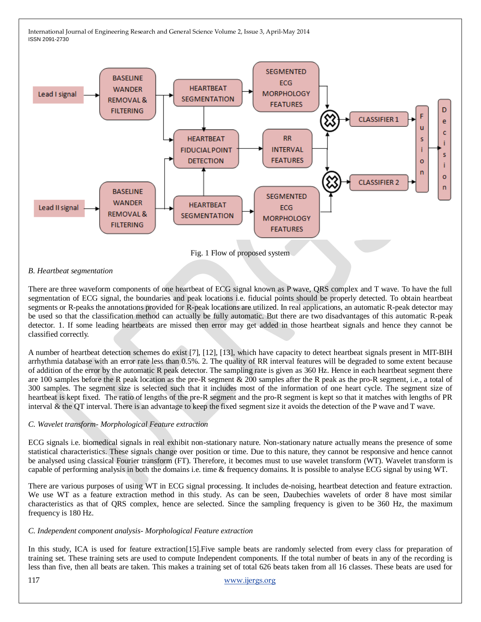

#### *B. Heartbeat segmentation*

There are three waveform components of one heartbeat of ECG signal known as P wave, QRS complex and T wave. To have the full segmentation of ECG signal, the boundaries and peak locations i.e. fiducial points should be properly detected. To obtain heartbeat segments or R-peaks the annotations provided for R-peak locations are utilized. In real applications, an automatic R-peak detector may be used so that the classification method can actually be fully automatic. But there are two disadvantages of this automatic R-peak detector. 1. If some leading heartbeats are missed then error may get added in those heartbeat signals and hence they cannot be classified correctly.

A number of heartbeat detection schemes do exist [7], [12], [13], which have capacity to detect heartbeat signals present in MIT-BIH arrhythmia database with an error rate less than 0.5%. 2. The quality of RR interval features will be degraded to some extent because of addition of the error by the automatic R peak detector. The sampling rate is given as 360 Hz. Hence in each heartbeat segment there are 100 samples before the R peak location as the pre-R segment & 200 samples after the R peak as the pro-R segment, i.e., a total of 300 samples. The segment size is selected such that it includes most of the information of one heart cycle. The segment size of heartbeat is kept fixed. The ratio of lengths of the pre-R segment and the pro-R segment is kept so that it matches with lengths of PR interval & the QT interval. There is an advantage to keep the fixed segment size it avoids the detection of the P wave and T wave.

#### *C. Wavelet transform- Morphological Feature extraction*

ECG signals i.e. biomedical signals in real exhibit non-stationary nature. Non-stationary nature actually means the presence of some statistical characteristics. These signals change over position or time. Due to this nature, they cannot be responsive and hence cannot be analysed using classical Fourier transform (FT). Therefore, it becomes must to use wavelet transform (WT). Wavelet transform is capable of performing analysis in both the domains i.e. time & frequency domains. It is possible to analyse ECG signal by using WT.

There are various purposes of using WT in ECG signal processing. It includes de-noising, heartbeat detection and feature extraction. We use WT as a feature extraction method in this study. As can be seen, Daubechies wavelets of order 8 have most similar characteristics as that of QRS complex, hence are selected. Since the sampling frequency is given to be 360 Hz, the maximum frequency is 180 Hz.

#### *C. Independent component analysis- Morphological Feature extraction*

In this study, ICA is used for feature extraction[15].Five sample beats are randomly selected from every class for preparation of training set. These training sets are used to compute Independent components. If the total number of beats in any of the recording is less than five, then all beats are taken. This makes a training set of total 626 beats taken from all 16 classes. These beats are used for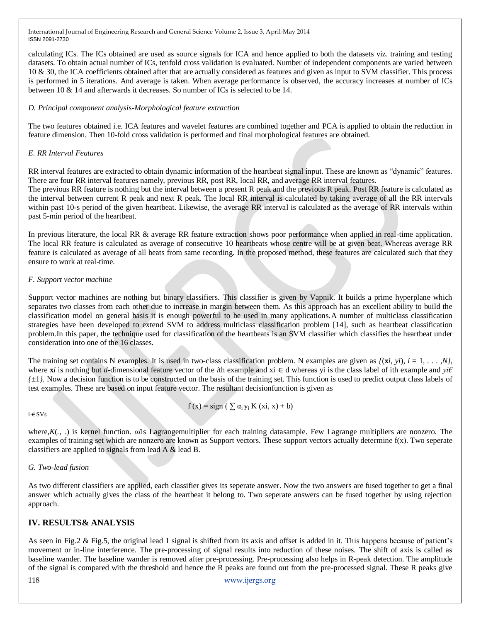calculating ICs. The ICs obtained are used as source signals for ICA and hence applied to both the datasets viz. training and testing datasets. To obtain actual number of ICs, tenfold cross validation is evaluated. Number of independent components are varied between 10 & 30, the ICA coefficients obtained after that are actually considered as features and given as input to SVM classifier. This process is performed in 5 iterations. And average is taken. When average performance is observed, the accuracy increases at number of ICs between 10 & 14 and afterwards it decreases. So number of ICs is selected to be 14.

## *D. Principal component analysis-Morphological feature extraction*

The two features obtained i.e. ICA features and wavelet features are combined together and PCA is applied to obtain the reduction in feature dimension. Then 10-fold cross validation is performed and final morphological features are obtained.

## *E. RR Interval Features*

RR interval features are extracted to obtain dynamic information of the heartbeat signal input. These are known as "dynamic" features. There are four RR interval features namely, previous RR, post RR, local RR, and average RR interval features.

The previous RR feature is nothing but the interval between a present R peak and the previous R peak. Post RR feature is calculated as the interval between current R peak and next R peak. The local RR interval is calculated by taking average of all the RR intervals within past 10-s period of the given heartbeat. Likewise, the average RR interval is calculated as the average of RR intervals within past 5-min period of the heartbeat.

In previous literature, the local RR & average RR feature extraction shows poor performance when applied in real-time application. The local RR feature is calculated as average of consecutive 10 heartbeats whose centre will be at given beat. Whereas average RR feature is calculated as average of all beats from same recording. In the proposed method, these features are calculated such that they ensure to work at real-time.

## *F. Support vector machine*

Support vector machines are nothing but binary classifiers. This classifier is given by Vapnik. It builds a prime hyperplane which separates two classes from each other due to increase in margin between them. As this approach has an excellent ability to build the classification model on general basis it is enough powerful to be used in many applications.A number of multiclass classification strategies have been developed to extend SVM to address multiclass classification problem [14], such as heartbeat classification problem.In this paper, the technique used for classification of the heartbeats is an SVM classifier which classifies the heartbeat under consideration into one of the 16 classes.

The training set contains N examples. It is used in two-class classification problem. N examples are given as  $f(x, yi)$ ,  $i = 1, \ldots, N$ , where **x***i* is nothing but *d-*dimensional feature vector of the *i*th example and xi ⋲ d whereas yi is the class label of ith example and *yi€*   $f_{\pm 1}$ . Now a decision function is to be constructed on the basis of the training set. This function is used to predict output class labels of test examples. These are based on input feature vector. The resultant decisionfunction is given as

$$
f(x) = sign\ (\sum \alpha_i y_i K(xi, x) + b)
$$

i ⋲SVs

where,*K*(*., .*) is kernel function. *αi*is Lagrangemultiplier for each training datasample. Few Lagrange multipliers are nonzero. The examples of training set which are nonzero are known as Support vectors. These support vectors actually determine f(x). Two seperate classifiers are applied to signals from lead A & lead B.

# *G. Two-lead fusion*

As two different classifiers are applied, each classifier gives its seperate answer. Now the two answers are fused together to get a final answer which actually gives the class of the heartbeat it belong to. Two seperate answers can be fused together by using rejection approach.

# **IV. RESULTS& ANALYSIS**

As seen in Fig.2 & Fig.5, the original lead 1 signal is shifted from its axis and offset is added in it. This happens because of patient's movement or in-line interference. The pre-processing of signal results into reduction of these noises. The shift of axis is called as baseline wander. The baseline wander is removed after pre-processing. Pre-processing also helps in R-peak detection. The amplitude of the signal is compared with the threshold and hence the R peaks are found out from the pre-processed signal. These R peaks give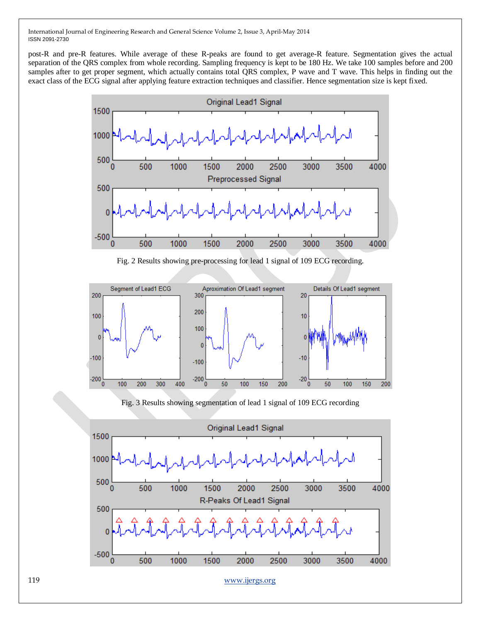post-R and pre-R features. While average of these R-peaks are found to get average-R feature. Segmentation gives the actual separation of the QRS complex from whole recording. Sampling frequency is kept to be 180 Hz. We take 100 samples before and 200 samples after to get proper segment, which actually contains total QRS complex, P wave and T wave. This helps in finding out the exact class of the ECG signal after applying feature extraction techniques and classifier. Hence segmentation size is kept fixed.



Fig. 2 Results showing pre-processing for lead 1 signal of 109 ECG recording.



Fig. 3 Results showing segmentation of lead 1 signal of 109 ECG recording

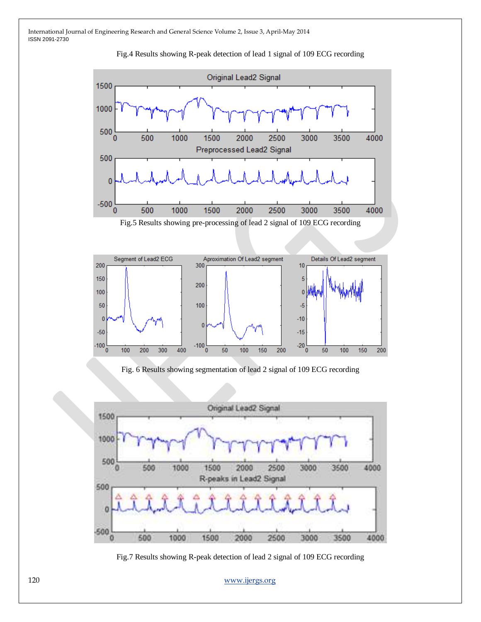



Fig.5 Results showing pre-processing of lead 2 signal of 109 ECG recording



Fig. 6 Results showing segmentation of lead 2 signal of 109 ECG recording